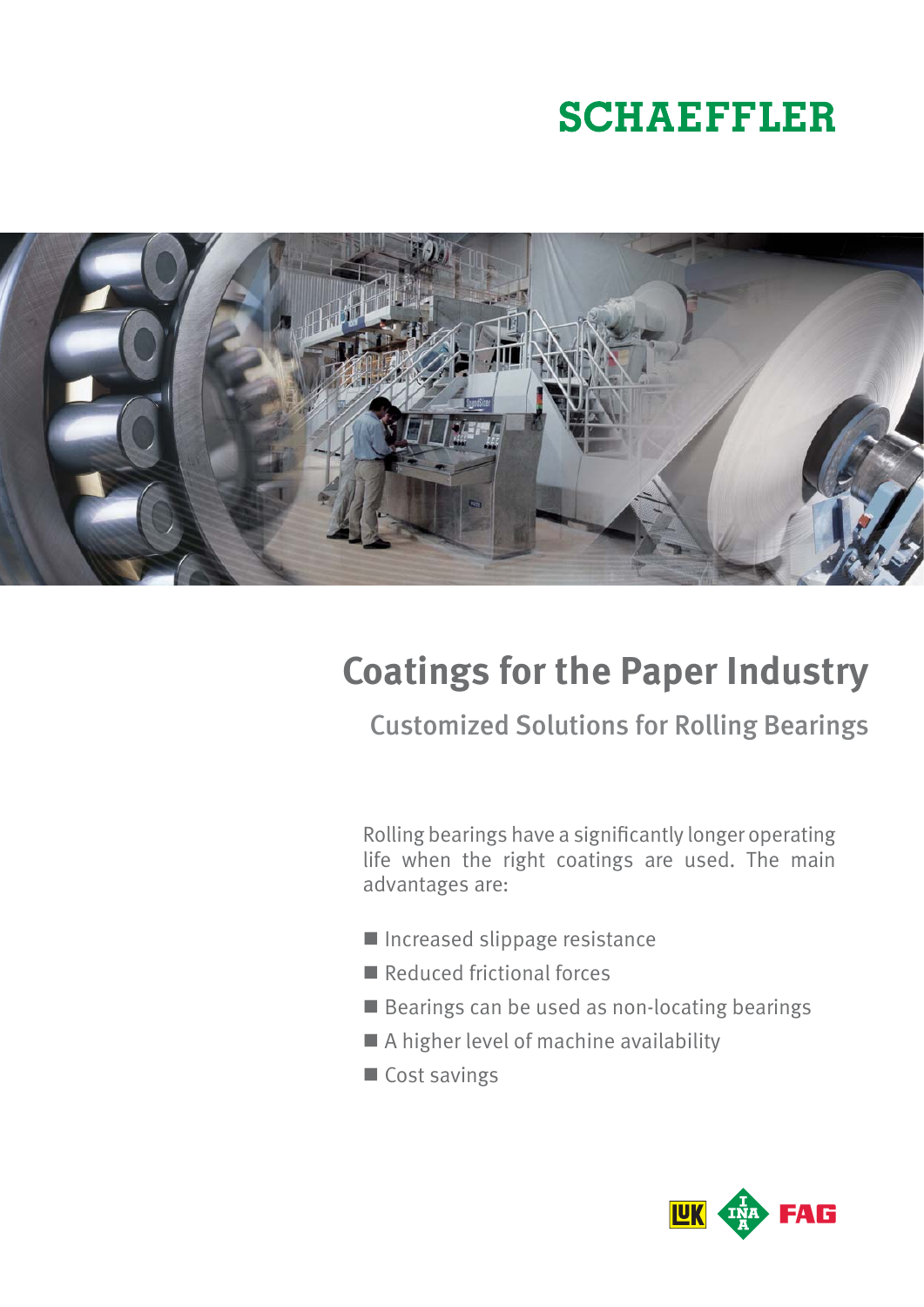# **SCHAEFFLER**



## **Coatings for the Paper Industry**

Customized Solutions for Rolling Bearings

Rolling bearings have a significantly longer operating life when the right coatings are used. The main advantages are:

- Increased slippage resistance
- Reduced frictional forces
- Bearings can be used as non-locating bearings
- A higher level of machine availability
- Cost savings

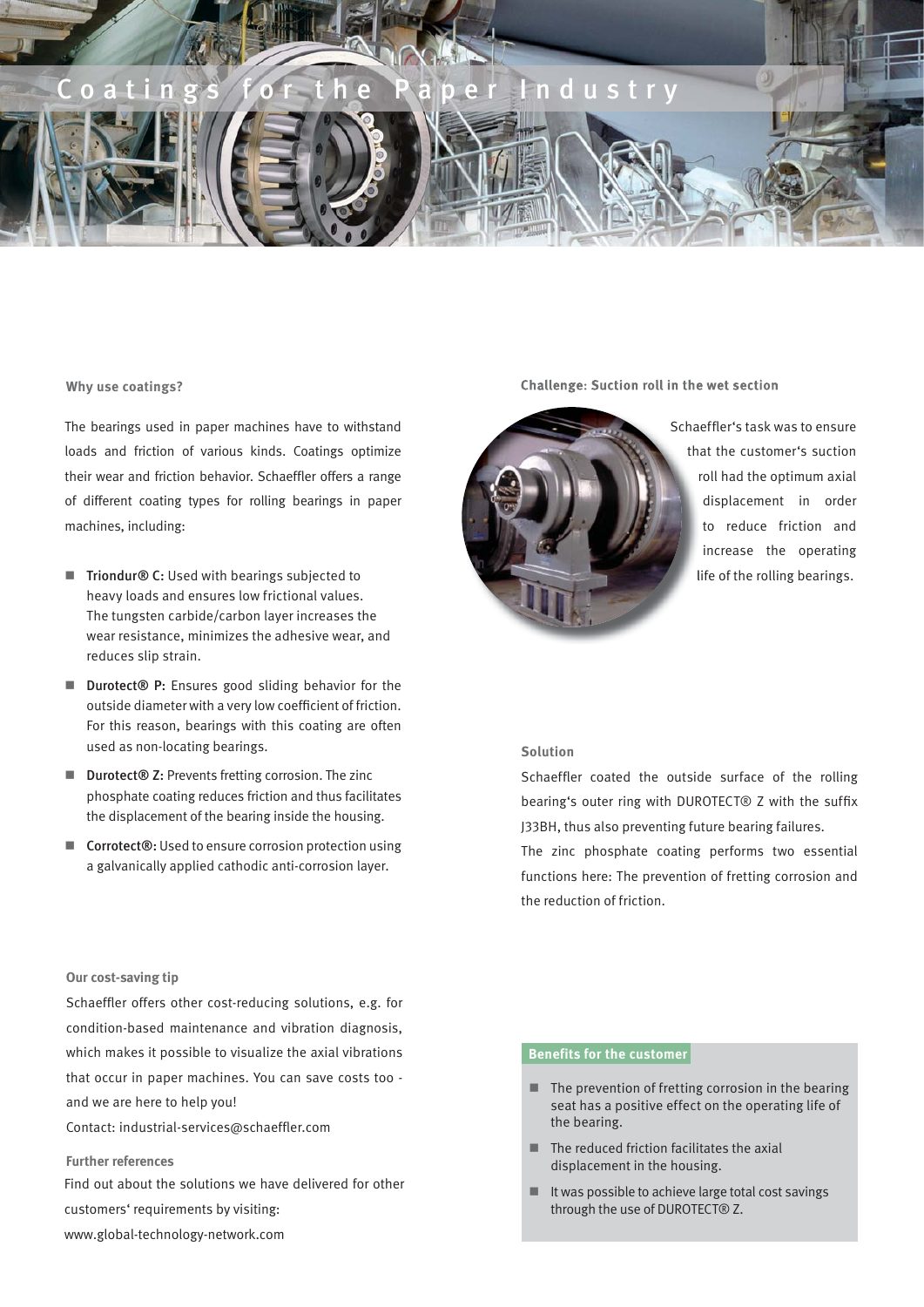

#### **Why use coatings?**

The bearings used in paper machines have to withstand loads and friction of various kinds. Coatings optimize their wear and friction behavior. Schaeffler offers a range of different coating types for rolling bearings in paper machines, including:

- Triondur® C: Used with bearings subjected to heavy loads and ensures low frictional values. The tungsten carbide/carbon layer increases the wear resistance, minimizes the adhesive wear, and reduces slip strain.
- Durotect® P: Ensures good sliding behavior for the outside diameter with a very low coefficient of friction. For this reason, bearings with this coating are often used as non-locating bearings.
- Durotect<sup>®</sup> Z: Prevents fretting corrosion. The zinc phosphate coating reduces friction and thus facilitates the displacement of the bearing inside the housing.
- **Corrotect®:** Used to ensure corrosion protection using a galvanically applied cathodic anti-corrosion layer.

#### **Our cost-saving tip**

Schaeffler offers other cost-reducing solutions, e.g. for condition-based maintenance and vibration diagnosis, which makes it possible to visualize the axial vibrations that occur in paper machines. You can save costs too and we are here to help you!

Contact: industrial-services@schaeffler.com

#### **Further references**

Find out about the solutions we have delivered for other customers' requirements by visiting:

www.global-technology-network.com

#### Challenge: Suction roll in the wet section



Schaeffler's task was to ensure that the customer's suction roll had the optimum axial displacement in order to reduce friction and increase the operating life of the rolling bearings. l

#### **Solution**

Schaeffler coated the outside surface of the rolling bearing's outer ring with DUROTECT® Z with the suffix J33BH, thus also preventing future bearing failures.

The zinc phosphate coating performs two essential functions here: The prevention of fretting corrosion and the reduction of friction.

### **Benefits for the customer**

- $\blacksquare$  The prevention of fretting corrosion in the bearing seat has a positive effect on the operating life of the bearing.
- $\blacksquare$  The reduced friction facilitates the axial displacement in the housing.
- $\blacksquare$  It was possible to achieve large total cost savings through the use of DUROTECT® Z.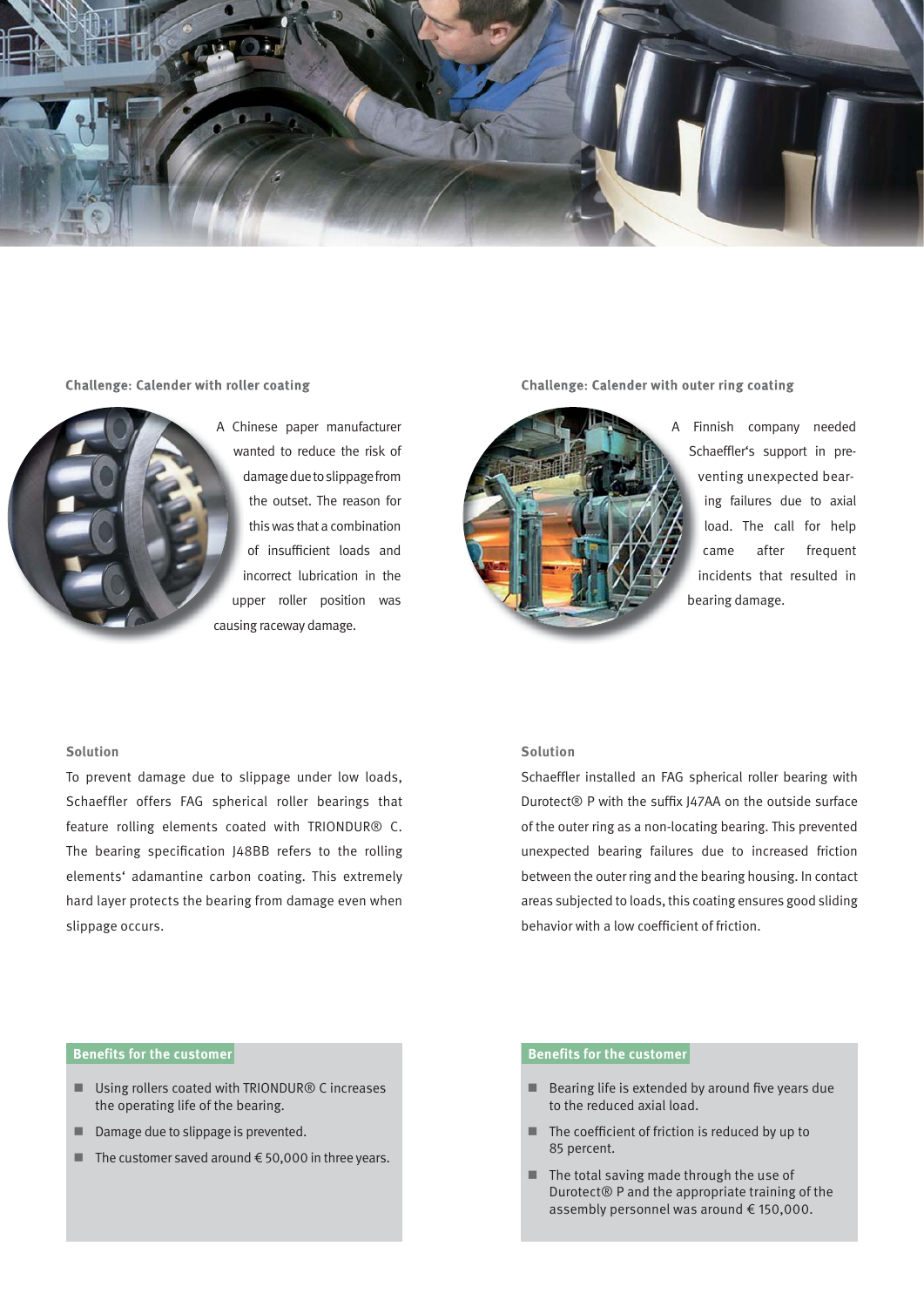

#### **Challenge: Calender with roller coating**



A Chinese paper manufacturer Ch wanted to reduce the risk of wa damage due to slippage from d the outset. The reason for this was that a combination of insufficient loads and incorrect lubrication in the upper roller position was up causing raceway damage. causin

Challenge: Calender with outer ring coating



A Finnish company needed F Schaeffler's support in preventing unexpected bear-v ing failures due to axial load. The call for help came after frequent incidents that resulted in bearing damage. be

#### **Solution**

To prevent damage due to slippage under low loads, Schaeffler offers FAG spherical roller bearings that feature rolling elements coated with TRIONDUR® C. The bearing specification J48BB refers to the rolling elements' adamantine carbon coating. This extremely hard layer protects the bearing from damage even when slippage occurs.

#### **Solution**

Schaeffler installed an FAG spherical roller bearing with Durotect® P with the suffix J47AA on the outside surface of the outer ring as a non-locating bearing. This prevented unexpected bearing failures due to increased friction between the outer ring and the bearing housing. In contact areas subjected to loads, this coating ensures good sliding behavior with a low coefficient of friction.

#### **Benefits for the customer Benefits for the customer**

- Using rollers coated with TRIONDUR<sup>®</sup> C increases the operating life of the bearing.
- Damage due to slippage is prevented.
- The customer saved around  $€50,000$  in three years.

- $\blacksquare$  Bearing life is extended by around five years due to the reduced axial load.
- The coefficient of friction is reduced by up to 85 percent.
- The total saving made through the use of Durotect® P and the appropriate training of the assembly personnel was around € 150,000.